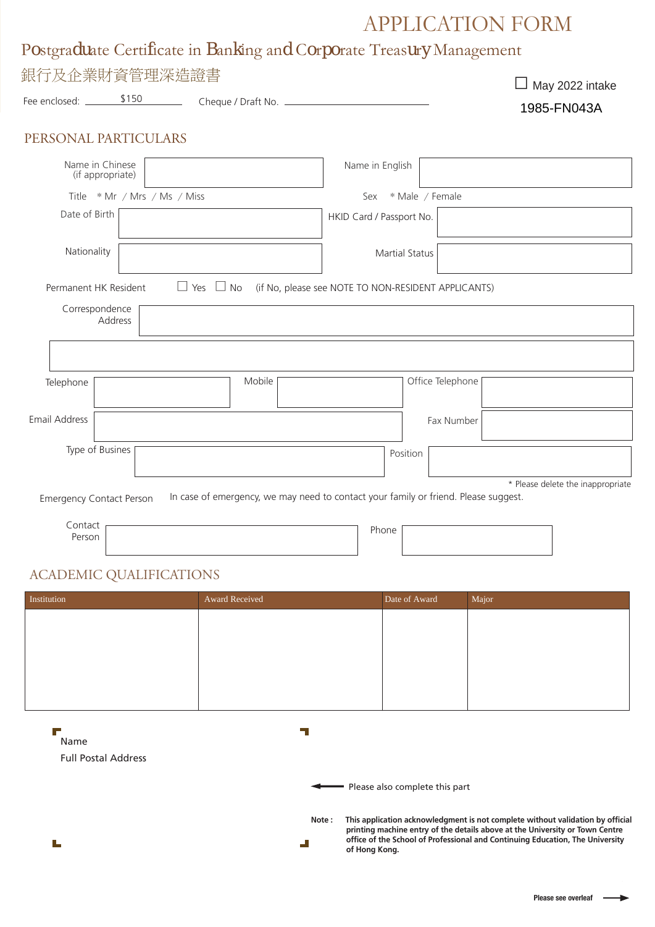# APPLICATION FORM

# Postgraduate Certificate in Banking and Corporate Treasury Management

# $\Box$  May 2022 intake Contact Person Phone Emergency Contact Person In case of emergency, we may need to contact your family or friend. Please suggest. Fee enclosed: Cheque / Draft No. \$150 銀行及企業財資管理深造證書 PERSONAL PARTICULARS Name in Chinese (if appropriate) Name in English Title \* Mr / Mrs / Ms / Miss Sex \* Male / Female Date of Birth **HKID Card / Passport No.** Correspondence Address Telephone Mobile Email Address Type of Busines \* Please delete the inappropriate Office Telephone Fax Number Position Nationality Nationality Nationality Association of the Martial Status Martial Status Permanent HK Resident  $\square$  Yes  $\square$  No (if No, please see NOTE TO NON-RESIDENT APPLICANTS) 1985-FN043A

# ACADEMIC QUALIFICATIONS

|                                                                                                                                                                                                                                                                           | Institution                | <b>Award Received</b> | Date of Award                  | Major |
|---------------------------------------------------------------------------------------------------------------------------------------------------------------------------------------------------------------------------------------------------------------------------|----------------------------|-----------------------|--------------------------------|-------|
|                                                                                                                                                                                                                                                                           |                            |                       |                                |       |
|                                                                                                                                                                                                                                                                           |                            |                       |                                |       |
|                                                                                                                                                                                                                                                                           |                            |                       |                                |       |
|                                                                                                                                                                                                                                                                           |                            |                       |                                |       |
|                                                                                                                                                                                                                                                                           |                            |                       |                                |       |
|                                                                                                                                                                                                                                                                           | <b>The State</b><br>Name   |                       |                                |       |
|                                                                                                                                                                                                                                                                           | <b>Full Postal Address</b> |                       |                                |       |
|                                                                                                                                                                                                                                                                           |                            |                       |                                |       |
|                                                                                                                                                                                                                                                                           |                            |                       | Please also complete this part |       |
| This application acknowledgment is not complete without validation by official<br>Note:<br>printing machine entry of the details above at the University or Town Centre<br>office of the School of Professional and Continuing Education, The University<br>of Hong Kong. |                            |                       |                                |       |